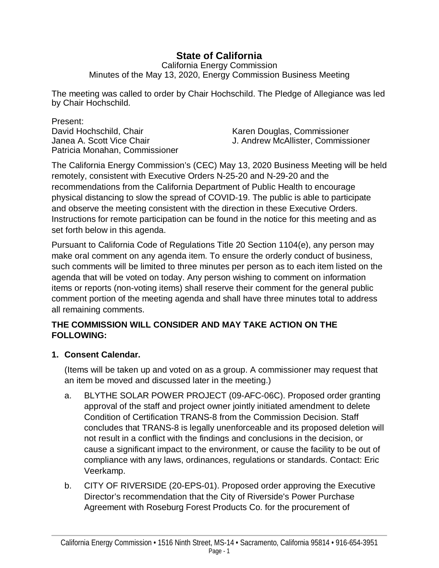# **State of California**

California Energy Commission Minutes of the May 13, 2020, Energy Commission Business Meeting

The meeting was called to order by Chair Hochschild. The Pledge of Allegiance was led by Chair Hochschild.

Present:<br>David Hochschild, Chair Patricia Monahan, Commissioner

Karen Douglas, Commissioner Janea A. Scott Vice Chair J. Andrew McAllister, Commissioner

The California Energy Commission's (CEC) May 13, 2020 Business Meeting will be held remotely, consistent with Executive Orders N-25-20 and N-29-20 and the recommendations from the California Department of Public Health to encourage physical distancing to slow the spread of COVID-19. The public is able to participate and observe the meeting consistent with the direction in these Executive Orders. Instructions for remote participation can be found in the notice for this meeting and as set forth below in this agenda.

Pursuant to California Code of Regulations Title 20 Section 1104(e), any person may make oral comment on any agenda item. To ensure the orderly conduct of business, such comments will be limited to three minutes per person as to each item listed on the agenda that will be voted on today. Any person wishing to comment on information items or reports (non-voting items) shall reserve their comment for the general public comment portion of the meeting agenda and shall have three minutes total to address all remaining comments.

### **THE COMMISSION WILL CONSIDER AND MAY TAKE ACTION ON THE FOLLOWING:**

### **1. Consent Calendar.**

(Items will be taken up and voted on as a group. A commissioner may request that an item be moved and discussed later in the meeting.)

- a. BLYTHE SOLAR POWER PROJECT (09-AFC-06C). Proposed order granting approval of the staff and project owner jointly initiated amendment to delete Condition of Certification TRANS-8 from the Commission Decision. Staff concludes that TRANS-8 is legally unenforceable and its proposed deletion will not result in a conflict with the findings and conclusions in the decision, or cause a significant impact to the environment, or cause the facility to be out of compliance with any laws, ordinances, regulations or standards. Contact: Eric Veerkamp.
- b. CITY OF RIVERSIDE (20-EPS-01). Proposed order approving the Executive Director's recommendation that the City of Riverside's Power Purchase Agreement with Roseburg Forest Products Co. for the procurement of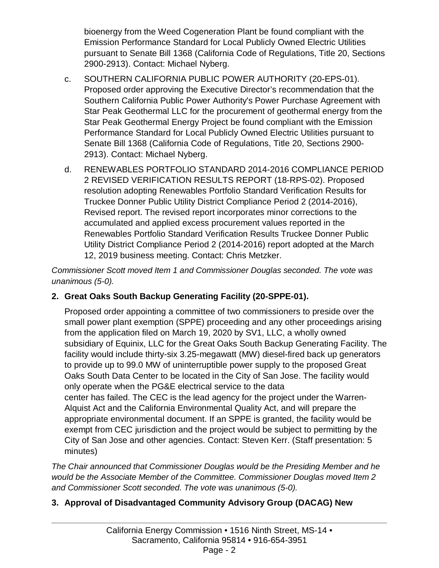bioenergy from the Weed Cogeneration Plant be found compliant with the Emission Performance Standard for Local Publicly Owned Electric Utilities pursuant to Senate Bill 1368 (California Code of Regulations, Title 20, Sections 2900-2913). Contact: Michael Nyberg.

- c. SOUTHERN CALIFORNIA PUBLIC POWER AUTHORITY (20-EPS-01). Proposed order approving the Executive Director's recommendation that the Southern California Public Power Authority's Power Purchase Agreement with Star Peak Geothermal LLC for the procurement of geothermal energy from the Star Peak Geothermal Energy Project be found compliant with the Emission Performance Standard for Local Publicly Owned Electric Utilities pursuant to Senate Bill 1368 (California Code of Regulations, Title 20, Sections 2900- 2913). Contact: Michael Nyberg.
- d. RENEWABLES PORTFOLIO STANDARD 2014-2016 COMPLIANCE PERIOD 2 REVISED VERIFICATION RESULTS REPORT (18-RPS-02). Proposed resolution adopting Renewables Portfolio Standard Verification Results for Truckee Donner Public Utility District Compliance Period 2 (2014-2016), Revised report. The revised report incorporates minor corrections to the accumulated and applied excess procurement values reported in the Renewables Portfolio Standard Verification Results Truckee Donner Public Utility District Compliance Period 2 (2014-2016) report adopted at the March 12, 2019 business meeting. Contact: Chris Metzker.

*Commissioner Scott moved Item 1 and Commissioner Douglas seconded. The vote was unanimous (5-0).* 

### **2. Great Oaks South Backup Generating Facility (20-SPPE-01).**

Proposed order appointing a committee of two commissioners to preside over the small power plant exemption (SPPE) proceeding and any other proceedings arising from the application filed on March 19, 2020 by SV1, LLC, a wholly owned subsidiary of Equinix, LLC for the Great Oaks South Backup Generating Facility. The facility would include thirty-six 3.25-megawatt (MW) diesel-fired back up generators to provide up to 99.0 MW of uninterruptible power supply to the proposed Great Oaks South Data Center to be located in the City of San Jose. The facility would only operate when the PG&E electrical service to the data center has failed. The CEC is the lead agency for the project under the Warren-Alquist Act and the California Environmental Quality Act, and will prepare the appropriate environmental document. If an SPPE is granted, the facility would be exempt from CEC jurisdiction and the project would be subject to permitting by the City of San Jose and other agencies. Contact: Steven Kerr. (Staff presentation: 5 minutes)

*The Chair announced that Commissioner Douglas would be the Presiding Member and he would be the Associate Member of the Committee. Commissioner Douglas moved Item 2 and Commissioner Scott seconded. The vote was unanimous (5-0).* 

## **3. Approval of Disadvantaged Community Advisory Group (DACAG) New**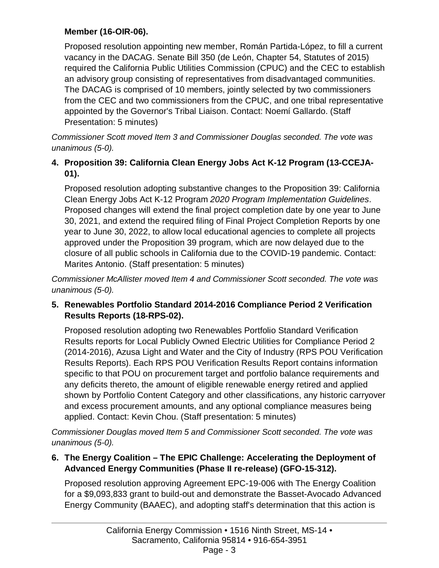### **Member (16-OIR-06).**

Proposed resolution appointing new member, Román Partida-López, to fill a current vacancy in the DACAG. Senate Bill 350 (de León, Chapter 54, Statutes of 2015) required the California Public Utilities Commission (CPUC) and the CEC to establish an advisory group consisting of representatives from disadvantaged communities. The DACAG is comprised of 10 members, jointly selected by two commissioners from the CEC and two commissioners from the CPUC, and one tribal representative appointed by the Governor's Tribal Liaison. Contact: Noemí Gallardo. (Staff Presentation: 5 minutes)

*Commissioner Scott moved Item 3 and Commissioner Douglas seconded. The vote was unanimous (5-0).* 

### **4. Proposition 39: California Clean Energy Jobs Act K-12 Program (13-CCEJA-01).**

Proposed resolution adopting substantive changes to the Proposition 39: California Clean Energy Jobs Act K-12 Program *2020 Program Implementation Guidelines*. Proposed changes will extend the final project completion date by one year to June 30, 2021, and extend the required filing of Final Project Completion Reports by one year to June 30, 2022, to allow local educational agencies to complete all projects approved under the Proposition 39 program, which are now delayed due to the closure of all public schools in California due to the COVID-19 pandemic. Contact: Marites Antonio. (Staff presentation: 5 minutes)

*Commissioner McAllister moved Item 4 and Commissioner Scott seconded. The vote was unanimous (5-0).* 

#### **5. Renewables Portfolio Standard 2014-2016 Compliance Period 2 Verification Results Reports (18-RPS-02).**

Proposed resolution adopting two Renewables Portfolio Standard Verification Results reports for Local Publicly Owned Electric Utilities for Compliance Period 2 (2014-2016), Azusa Light and Water and the City of Industry (RPS POU Verification Results Reports). Each RPS POU Verification Results Report contains information specific to that POU on procurement target and portfolio balance requirements and any deficits thereto, the amount of eligible renewable energy retired and applied shown by Portfolio Content Category and other classifications, any historic carryover and excess procurement amounts, and any optional compliance measures being applied. Contact: Kevin Chou. (Staff presentation: 5 minutes)

*Commissioner Douglas moved Item 5 and Commissioner Scott seconded. The vote was unanimous (5-0).*

### **6. The Energy Coalition – The EPIC Challenge: Accelerating the Deployment of Advanced Energy Communities (Phase II re-release) (GFO-15-312).**

Proposed resolution approving Agreement EPC-19-006 with The Energy Coalition for a \$9,093,833 grant to build-out and demonstrate the Basset-Avocado Advanced Energy Community (BAAEC), and adopting staff's determination that this action is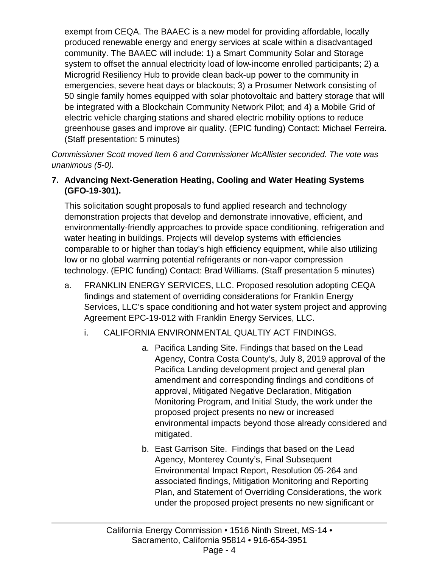exempt from CEQA. The BAAEC is a new model for providing affordable, locally produced renewable energy and energy services at scale within a disadvantaged community. The BAAEC will include: 1) a Smart Community Solar and Storage system to offset the annual electricity load of low-income enrolled participants; 2) a Microgrid Resiliency Hub to provide clean back-up power to the community in emergencies, severe heat days or blackouts; 3) a Prosumer Network consisting of 50 single family homes equipped with solar photovoltaic and battery storage that will be integrated with a Blockchain Community Network Pilot; and 4) a Mobile Grid of electric vehicle charging stations and shared electric mobility options to reduce greenhouse gases and improve air quality. (EPIC funding) Contact: Michael Ferreira. (Staff presentation: 5 minutes)

*Commissioner Scott moved Item 6 and Commissioner McAllister seconded. The vote was unanimous (5-0).* 

### **7. Advancing Next-Generation Heating, Cooling and Water Heating Systems (GFO-19-301).**

This solicitation sought proposals to fund applied research and technology demonstration projects that develop and demonstrate innovative, efficient, and environmentally-friendly approaches to provide space conditioning, refrigeration and water heating in buildings. Projects will develop systems with efficiencies comparable to or higher than today's high efficiency equipment, while also utilizing low or no global warming potential refrigerants or non-vapor compression technology. (EPIC funding) Contact: Brad Williams. (Staff presentation 5 minutes)

- a. FRANKLIN ENERGY SERVICES, LLC. Proposed resolution adopting CEQA findings and statement of overriding considerations for Franklin Energy Services, LLC's space conditioning and hot water system project and approving Agreement EPC-19-012 with Franklin Energy Services, LLC.
	- i. CALIFORNIA ENVIRONMENTAL QUALTIY ACT FINDINGS.
		- a. Pacifica Landing Site. Findings that based on the Lead Agency, Contra Costa County's, July 8, 2019 approval of the Pacifica Landing development project and general plan amendment and corresponding findings and conditions of approval, Mitigated Negative Declaration, Mitigation Monitoring Program, and Initial Study, the work under the proposed project presents no new or increased environmental impacts beyond those already considered and mitigated.
		- b. East Garrison Site. Findings that based on the Lead Agency, Monterey County's, Final Subsequent Environmental Impact Report, Resolution 05-264 and associated findings, Mitigation Monitoring and Reporting Plan, and Statement of Overriding Considerations, the work under the proposed project presents no new significant or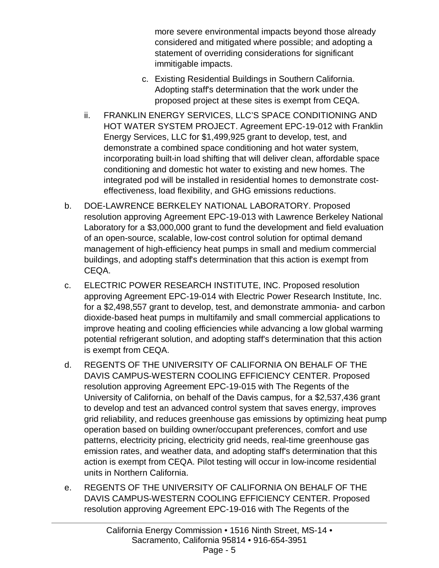more severe environmental impacts beyond those already considered and mitigated where possible; and adopting a statement of overriding considerations for significant immitigable impacts.

- c. Existing Residential Buildings in Southern California. Adopting staff's determination that the work under the proposed project at these sites is exempt from CEQA.
- ii. FRANKLIN ENERGY SERVICES, LLC'S SPACE CONDITIONING AND HOT WATER SYSTEM PROJECT. Agreement EPC-19-012 with Franklin Energy Services, LLC for \$1,499,925 grant to develop, test, and demonstrate a combined space conditioning and hot water system, incorporating built-in load shifting that will deliver clean, affordable space conditioning and domestic hot water to existing and new homes. The integrated pod will be installed in residential homes to demonstrate costeffectiveness, load flexibility, and GHG emissions reductions.
- b. DOE-LAWRENCE BERKELEY NATIONAL LABORATORY. Proposed resolution approving Agreement EPC-19-013 with Lawrence Berkeley National Laboratory for a \$3,000,000 grant to fund the development and field evaluation of an open-source, scalable, low-cost control solution for optimal demand management of high-efficiency heat pumps in small and medium commercial buildings, and adopting staff's determination that this action is exempt from CEQA.
- c. ELECTRIC POWER RESEARCH INSTITUTE, INC. Proposed resolution approving Agreement EPC-19-014 with Electric Power Research Institute, Inc. for a \$2,498,557 grant to develop, test, and demonstrate ammonia- and carbon dioxide-based heat pumps in multifamily and small commercial applications to improve heating and cooling efficiencies while advancing a low global warming potential refrigerant solution, and adopting staff's determination that this action is exempt from CEQA.
- d. REGENTS OF THE UNIVERSITY OF CALIFORNIA ON BEHALF OF THE DAVIS CAMPUS-WESTERN COOLING EFFICIENCY CENTER. Proposed resolution approving Agreement EPC-19-015 with The Regents of the University of California, on behalf of the Davis campus, for a \$2,537,436 grant to develop and test an advanced control system that saves energy, improves grid reliability, and reduces greenhouse gas emissions by optimizing heat pump operation based on building owner/occupant preferences, comfort and use patterns, electricity pricing, electricity grid needs, real-time greenhouse gas emission rates, and weather data, and adopting staff's determination that this action is exempt from CEQA. Pilot testing will occur in low-income residential units in Northern California.
- e. REGENTS OF THE UNIVERSITY OF CALIFORNIA ON BEHALF OF THE DAVIS CAMPUS-WESTERN COOLING EFFICIENCY CENTER. Proposed resolution approving Agreement EPC-19-016 with The Regents of the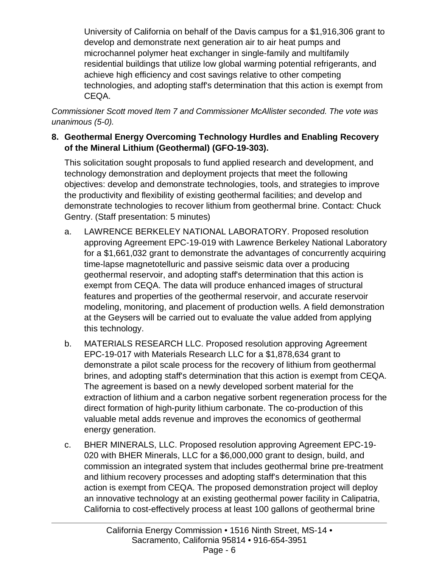University of California on behalf of the Davis campus for a \$1,916,306 grant to develop and demonstrate next generation air to air heat pumps and microchannel polymer heat exchanger in single-family and multifamily residential buildings that utilize low global warming potential refrigerants, and achieve high efficiency and cost savings relative to other competing technologies, and adopting staff's determination that this action is exempt from CEQA.

*Commissioner Scott moved Item 7 and Commissioner McAllister seconded. The vote was unanimous (5-0).* 

#### **8. Geothermal Energy Overcoming Technology Hurdles and Enabling Recovery of the Mineral Lithium (Geothermal) (GFO-19-303).**

This solicitation sought proposals to fund applied research and development, and technology demonstration and deployment projects that meet the following objectives: develop and demonstrate technologies, tools, and strategies to improve the productivity and flexibility of existing geothermal facilities; and develop and demonstrate technologies to recover lithium from geothermal brine. Contact: Chuck Gentry. (Staff presentation: 5 minutes)

- a. LAWRENCE BERKELEY NATIONAL LABORATORY. Proposed resolution approving Agreement EPC-19-019 with Lawrence Berkeley National Laboratory for a \$1,661,032 grant to demonstrate the advantages of concurrently acquiring time-lapse magnetotelluric and passive seismic data over a producing geothermal reservoir, and adopting staff's determination that this action is exempt from CEQA. The data will produce enhanced images of structural features and properties of the geothermal reservoir, and accurate reservoir modeling, monitoring, and placement of production wells. A field demonstration at the Geysers will be carried out to evaluate the value added from applying this technology.
- b. MATERIALS RESEARCH LLC. Proposed resolution approving Agreement EPC-19-017 with Materials Research LLC for a \$1,878,634 grant to demonstrate a pilot scale process for the recovery of lithium from geothermal brines, and adopting staff's determination that this action is exempt from CEQA. The agreement is based on a newly developed sorbent material for the extraction of lithium and a carbon negative sorbent regeneration process for the direct formation of high-purity lithium carbonate. The co-production of this valuable metal adds revenue and improves the economics of geothermal energy generation.
- c. BHER MINERALS, LLC. Proposed resolution approving Agreement EPC-19- 020 with BHER Minerals, LLC for a \$6,000,000 grant to design, build, and commission an integrated system that includes geothermal brine pre-treatment and lithium recovery processes and adopting staff's determination that this action is exempt from CEQA. The proposed demonstration project will deploy an innovative technology at an existing geothermal power facility in Calipatria, California to cost-effectively process at least 100 gallons of geothermal brine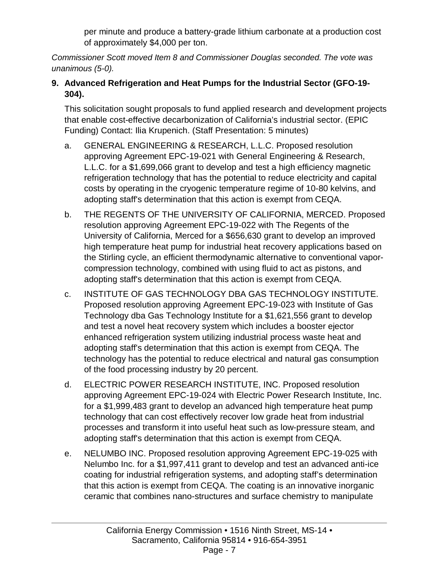per minute and produce a battery-grade lithium carbonate at a production cost of approximately \$4,000 per ton.

*Commissioner Scott moved Item 8 and Commissioner Douglas seconded. The vote was unanimous (5-0).* 

### **9. Advanced Refrigeration and Heat Pumps for the Industrial Sector (GFO-19- 304).**

This solicitation sought proposals to fund applied research and development projects that enable cost-effective decarbonization of California's industrial sector. (EPIC Funding) Contact: Ilia Krupenich. (Staff Presentation: 5 minutes)

- a. GENERAL ENGINEERING & RESEARCH, L.L.C. Proposed resolution approving Agreement EPC-19-021 with General Engineering & Research, L.L.C. for a \$1,699,066 grant to develop and test a high efficiency magnetic refrigeration technology that has the potential to reduce electricity and capital costs by operating in the cryogenic temperature regime of 10-80 kelvins, and adopting staff's determination that this action is exempt from CEQA.
- b. THE REGENTS OF THE UNIVERSITY OF CALIFORNIA, MERCED. Proposed resolution approving Agreement EPC-19-022 with The Regents of the University of California, Merced for a \$656,630 grant to develop an improved high temperature heat pump for industrial heat recovery applications based on the Stirling cycle, an efficient thermodynamic alternative to conventional vaporcompression technology, combined with using fluid to act as pistons, and adopting staff's determination that this action is exempt from CEQA.
- c. INSTITUTE OF GAS TECHNOLOGY DBA GAS TECHNOLOGY INSTITUTE. Proposed resolution approving Agreement EPC-19-023 with Institute of Gas Technology dba Gas Technology Institute for a \$1,621,556 grant to develop and test a novel heat recovery system which includes a booster ejector enhanced refrigeration system utilizing industrial process waste heat and adopting staff's determination that this action is exempt from CEQA. The technology has the potential to reduce electrical and natural gas consumption of the food processing industry by 20 percent.
- d. ELECTRIC POWER RESEARCH INSTITUTE, INC. Proposed resolution approving Agreement EPC-19-024 with Electric Power Research Institute, Inc. for a \$1,999,483 grant to develop an advanced high temperature heat pump technology that can cost effectively recover low grade heat from industrial processes and transform it into useful heat such as low-pressure steam, and adopting staff's determination that this action is exempt from CEQA.
- e. NELUMBO INC. Proposed resolution approving Agreement EPC-19-025 with Nelumbo Inc. for a \$1,997,411 grant to develop and test an advanced anti-ice coating for industrial refrigeration systems, and adopting staff's determination that this action is exempt from CEQA. The coating is an innovative inorganic ceramic that combines nano-structures and surface chemistry to manipulate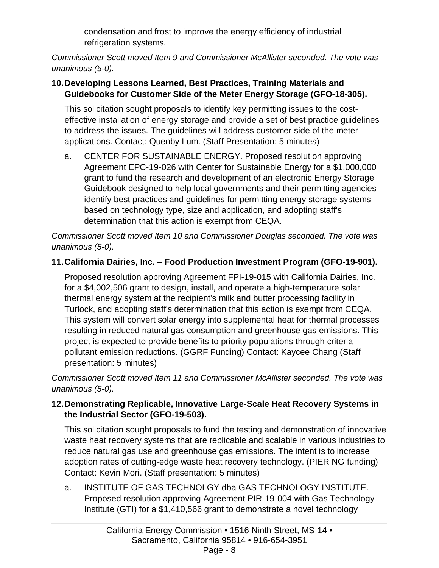condensation and frost to improve the energy efficiency of industrial refrigeration systems.

*Commissioner Scott moved Item 9 and Commissioner McAllister seconded. The vote was unanimous (5-0).* 

### **10.Developing Lessons Learned, Best Practices, Training Materials and Guidebooks for Customer Side of the Meter Energy Storage (GFO-18-305).**

This solicitation sought proposals to identify key permitting issues to the costeffective installation of energy storage and provide a set of best practice guidelines to address the issues. The guidelines will address customer side of the meter applications. Contact: Quenby Lum. (Staff Presentation: 5 minutes)

a. CENTER FOR SUSTAINABLE ENERGY. Proposed resolution approving Agreement EPC-19-026 with Center for Sustainable Energy for a \$1,000,000 grant to fund the research and development of an electronic Energy Storage Guidebook designed to help local governments and their permitting agencies identify best practices and guidelines for permitting energy storage systems based on technology type, size and application, and adopting staff's determination that this action is exempt from CEQA.

*Commissioner Scott moved Item 10 and Commissioner Douglas seconded. The vote was unanimous (5-0).* 

## **11.California Dairies, Inc. – Food Production Investment Program (GFO-19-901).**

Proposed resolution approving Agreement FPI-19-015 with California Dairies, Inc. for a \$4,002,506 grant to design, install, and operate a high-temperature solar thermal energy system at the recipient's milk and butter processing facility in Turlock, and adopting staff's determination that this action is exempt from CEQA. This system will convert solar energy into supplemental heat for thermal processes resulting in reduced natural gas consumption and greenhouse gas emissions. This project is expected to provide benefits to priority populations through criteria pollutant emission reductions. (GGRF Funding) Contact: Kaycee Chang (Staff presentation: 5 minutes)

*Commissioner Scott moved Item 11 and Commissioner McAllister seconded. The vote was unanimous (5-0).*

### **12.Demonstrating Replicable, Innovative Large-Scale Heat Recovery Systems in the Industrial Sector (GFO-19-503).**

This solicitation sought proposals to fund the testing and demonstration of innovative waste heat recovery systems that are replicable and scalable in various industries to reduce natural gas use and greenhouse gas emissions. The intent is to increase adoption rates of cutting-edge waste heat recovery technology. (PIER NG funding) Contact: Kevin Mori. (Staff presentation: 5 minutes)

a. INSTITUTE OF GAS TECHNOLGY dba GAS TECHNOLOGY INSTITUTE. Proposed resolution approving Agreement PIR-19-004 with Gas Technology Institute (GTI) for a \$1,410,566 grant to demonstrate a novel technology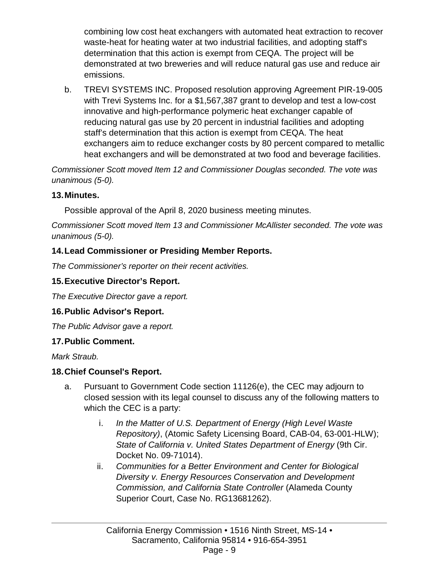combining low cost heat exchangers with automated heat extraction to recover waste-heat for heating water at two industrial facilities, and adopting staff's determination that this action is exempt from CEQA. The project will be demonstrated at two breweries and will reduce natural gas use and reduce air emissions.

b. TREVI SYSTEMS INC. Proposed resolution approving Agreement PIR-19-005 with Trevi Systems Inc. for a \$1,567,387 grant to develop and test a low-cost innovative and high-performance polymeric heat exchanger capable of reducing natural gas use by 20 percent in industrial facilities and adopting staff's determination that this action is exempt from CEQA. The heat exchangers aim to reduce exchanger costs by 80 percent compared to metallic heat exchangers and will be demonstrated at two food and beverage facilities.

*Commissioner Scott moved Item 12 and Commissioner Douglas seconded. The vote was unanimous (5-0).* 

#### **13.Minutes.**

Possible approval of the April 8, 2020 business meeting minutes.

*Commissioner Scott moved Item 13 and Commissioner McAllister seconded. The vote was unanimous (5-0).* 

### **14.Lead Commissioner or Presiding Member Reports.**

*The Commissioner's reporter on their recent activities.* 

### **15.Executive Director's Report.**

*The Executive Director gave a report.* 

### **16.Public Advisor's Report.**

*The Public Advisor gave a report.* 

### **17.Public Comment.**

*Mark Straub.*

### **18.Chief Counsel's Report.**

- a. Pursuant to Government Code section 11126(e), the CEC may adjourn to closed session with its legal counsel to discuss any of the following matters to which the CEC is a party:
	- i. *In the Matter of U.S. Department of Energy (High Level Waste Repository)*, (Atomic Safety Licensing Board, CAB-04, 63-001-HLW); *State of California v. United States Department of Energy* (9th Cir. Docket No. 09-71014).
	- ii. *Communities for a Better Environment and Center for Biological Diversity v. Energy Resources Conservation and Development Commission, and California State Controller* (Alameda County Superior Court, Case No. RG13681262).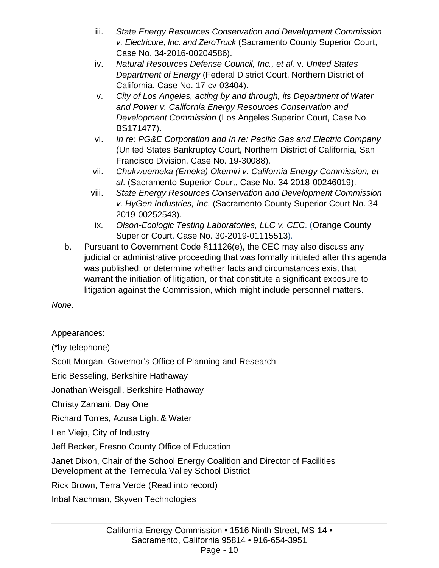- iii. *State Energy Resources Conservation and Development Commission v. Electricore, Inc. and ZeroTruck* (Sacramento County Superior Court, Case No. 34-2016-00204586).
- iv. *Natural Resources Defense Council, Inc., et al.* v. *United States Department of Energy* (Federal District Court, Northern District of California, Case No. 17-cv-03404).
- v. *City of Los Angeles, acting by and through, its Department of Water and Power v. California Energy Resources Conservation and Development Commission* (Los Angeles Superior Court, Case No. BS171477).
- vi. *In re: PG&E Corporation and In re: Pacific Gas and Electric Company* (United States Bankruptcy Court, Northern District of California, San Francisco Division, Case No. 19-30088).
- vii. *Chukwuemeka (Emeka) Okemiri v. California Energy Commission, et al*. (Sacramento Superior Court, Case No. 34-2018-00246019).
- viii. *State Energy Resources Conservation and Development Commission v. HyGen Industries, Inc.* (Sacramento County Superior Court No. 34- 2019-00252543).
- ix. *Olson-Ecologic Testing Laboratories, LLC v. CEC*. (Orange County Superior Court. Case No. 30-2019-01115513).
- b. Pursuant to Government Code §11126(e), the CEC may also discuss any judicial or administrative proceeding that was formally initiated after this agenda was published; or determine whether facts and circumstances exist that warrant the initiation of litigation, or that constitute a significant exposure to litigation against the Commission, which might include personnel matters.

*None.* 

Appearances:

(\*by telephone)

Scott Morgan, Governor's Office of Planning and Research

Eric Besseling, Berkshire Hathaway

Jonathan Weisgall, Berkshire Hathaway

Christy Zamani, Day One

Richard Torres, Azusa Light & Water

Len Viejo, City of Industry

Jeff Becker, Fresno County Office of Education

Janet Dixon, Chair of the School Energy Coalition and Director of Facilities Development at the Temecula Valley School District

Rick Brown, Terra Verde (Read into record)

Inbal Nachman, Skyven Technologies